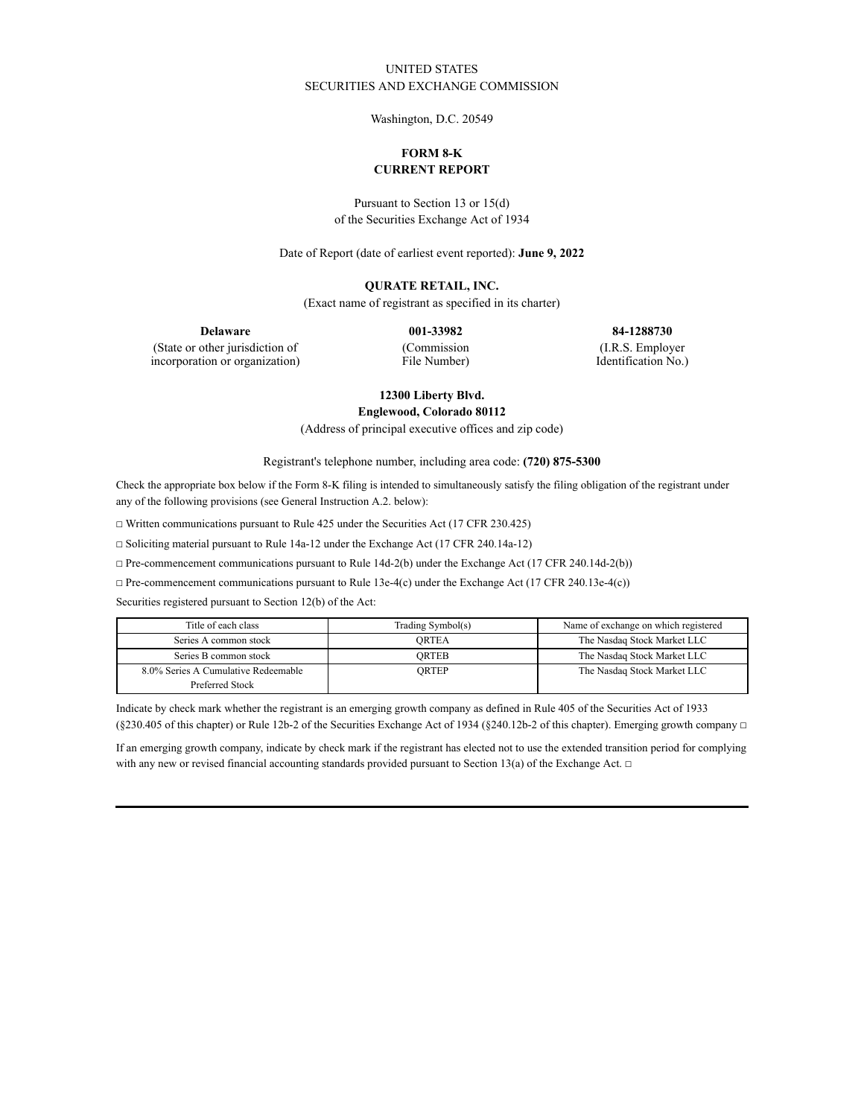## UNITED STATES SECURITIES AND EXCHANGE COMMISSION

Washington, D.C. 20549

# **FORM 8-K CURRENT REPORT**

Pursuant to Section 13 or 15(d) of the Securities Exchange Act of 1934

Date of Report (date of earliest event reported): **June 9, 2022**

### **QURATE RETAIL, INC.**

(Exact name of registrant as specified in its charter)

**Delaware 001-33982 84-1288730**

(State or other jurisdiction of incorporation or organization) (Commission File Number)

(I.R.S. Employer Identification No.)

# **12300 Liberty Blvd.**

**Englewood, Colorado 80112**

(Address of principal executive offices and zip code)

Registrant's telephone number, including area code: **(720) 875-5300**

Check the appropriate box below if the Form 8-K filing is intended to simultaneously satisfy the filing obligation of the registrant under any of the following provisions (see General Instruction A.2. below):

☐ Written communications pursuant to Rule 425 under the Securities Act (17 CFR 230.425)

☐ Soliciting material pursuant to Rule 14a-12 under the Exchange Act (17 CFR 240.14a-12)

☐ Pre-commencement communications pursuant to Rule 14d-2(b) under the Exchange Act (17 CFR 240.14d-2(b))

☐ Pre-commencement communications pursuant to Rule 13e-4(c) under the Exchange Act (17 CFR 240.13e-4(c))

Securities registered pursuant to Section 12(b) of the Act:

| Title of each class                 | Trading Symbol(s) | Name of exchange on which registered |
|-------------------------------------|-------------------|--------------------------------------|
| Series A common stock               | ORTEA             | The Nasdaq Stock Market LLC          |
| Series B common stock               | ORTEB             | The Nasdaq Stock Market LLC          |
| 8.0% Series A Cumulative Redeemable | ORTEP             | The Nasdaq Stock Market LLC          |
| Preferred Stock                     |                   |                                      |

Indicate by check mark whether the registrant is an emerging growth company as defined in Rule 405 of the Securities Act of 1933 (§230.405 of this chapter) or Rule 12b-2 of the Securities Exchange Act of 1934 (§240.12b-2 of this chapter). Emerging growth company  $\Box$ 

If an emerging growth company, indicate by check mark if the registrant has elected not to use the extended transition period for complying with any new or revised financial accounting standards provided pursuant to Section 13(a) of the Exchange Act.  $\Box$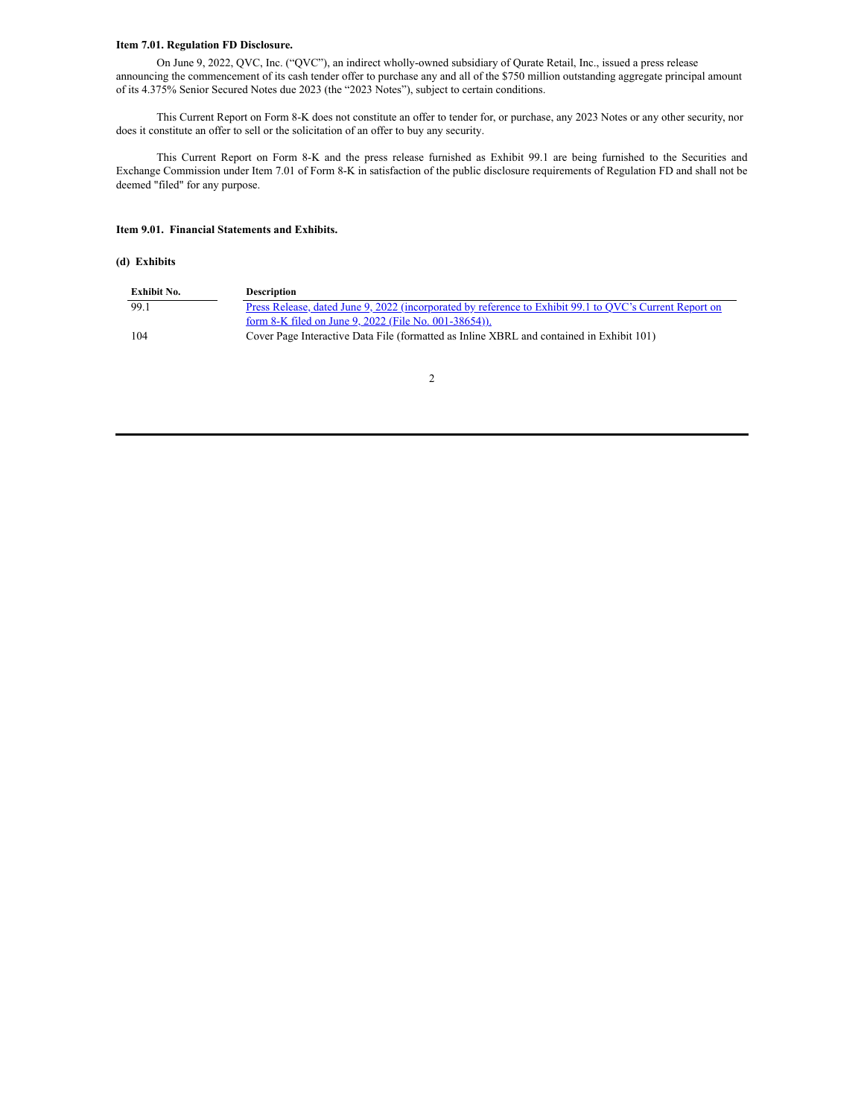#### **Item 7.01. Regulation FD Disclosure.**

On June 9, 2022, QVC, Inc. ("QVC"), an indirect wholly-owned subsidiary of Qurate Retail, Inc., issued a press release announcing the commencement of its cash tender offer to purchase any and all of the \$750 million outstanding aggregate principal amount of its 4.375% Senior Secured Notes due 2023 (the "2023 Notes"), subject to certain conditions.

This Current Report on Form 8-K does not constitute an offer to tender for, or purchase, any 2023 Notes or any other security, nor does it constitute an offer to sell or the solicitation of an offer to buy any security.

This Current Report on Form 8-K and the press release furnished as Exhibit 99.1 are being furnished to the Securities and Exchange Commission under Item 7.01 of Form 8-K in satisfaction of the public disclosure requirements of Regulation FD and shall not be deemed "filed" for any purpose.

#### **Item 9.01. Financial Statements and Exhibits.**

#### **(d) Exhibits**

| Exhibit No. | <b>Description</b>                                                                                             |
|-------------|----------------------------------------------------------------------------------------------------------------|
| 99.1        | <u>Press Release, dated June 9, 2022 (incorporated by reference to Exhibit 99.1 to QVC's Current Report on</u> |
|             | form 8-K filed on June 9, 2022 (File No. 001-38654)).                                                          |
| 104         | Cover Page Interactive Data File (formatted as Inline XBRL and contained in Exhibit 101)                       |

2